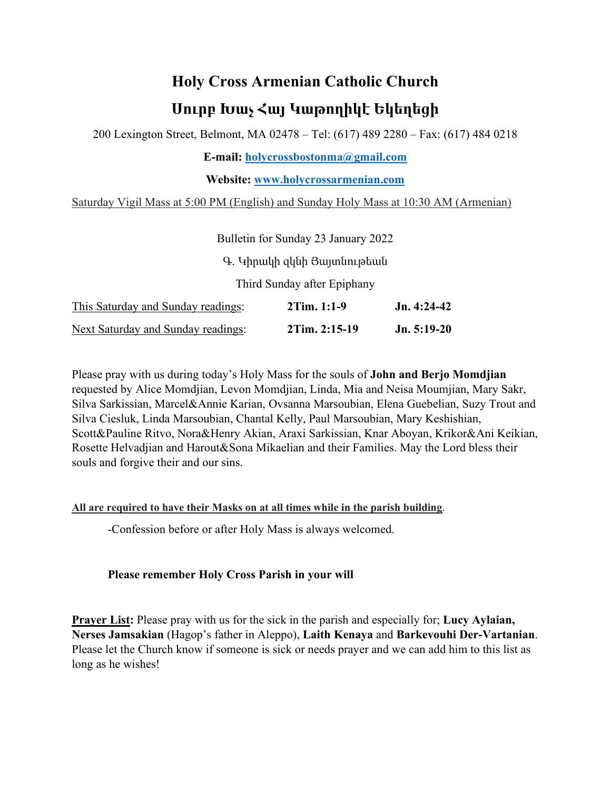## **Holy Cross Armenian Catholic Church Սուրբ Խաչ Հայ Կաթողիկէ Եկեղեցի**

200 Lexington Street, Belmont, MA 02478 – Tel: (617) 489 2280 – Fax: (617) 484 0218

**E-mail: holycrossbostonma@gmail.com**

**Website: www.holycrossarmenian.com**

Saturday Vigil Mass at 5:00 PM (English) and Sunday Holy Mass at 10:30 AM (Armenian)

|                                           | Bulletin for Sunday 23 January 2022 |               |
|-------------------------------------------|-------------------------------------|---------------|
|                                           | Գ. Կիրակի զկնի Յայտնութեան          |               |
|                                           | Third Sunday after Epiphany         |               |
| This Saturday and Sunday readings:        | 2Tim. 1:1-9                         | $Jn. 4:24-42$ |
| <b>Next Saturday and Sunday readings:</b> | 2Tim. 2:15-19                       | $Jn. 5:19-20$ |

Please pray with us during today's Holy Mass for the souls of **John and Berjo Momdjian** requested by Alice Momdjian, Levon Momdjian, Linda, Mia and Neisa Moumjian, Mary Sakr, Silva Sarkissian, Marcel&Annie Karian, Ovsanna Marsoubian, Elena Guebelian, Suzy Trout and Silva Ciesluk, Linda Marsoubian, Chantal Kelly, Paul Marsoubian, Mary Keshishian, Scott&Pauline Ritvo, Nora&Henry Akian, Araxi Sarkissian, Knar Aboyan, Krikor&Ani Keikian, Rosette Helvadjian and Harout&Sona Mikaelian and their Families. May the Lord bless their souls and forgive their and our sins.

## **All are required to have their Masks on at all times while in the parish building**.

-Confession before or after Holy Mass is always welcomed.

## **Please remember Holy Cross Parish in your will**

**Prayer List:** Please pray with us for the sick in the parish and especially for; **Lucy Aylaian, Nerses Jamsakian** (Hagop's father in Aleppo), **Laith Kenaya** and **Barkevouhi Der-Vartanian**. Please let the Church know if someone is sick or needs prayer and we can add him to this list as long as he wishes!